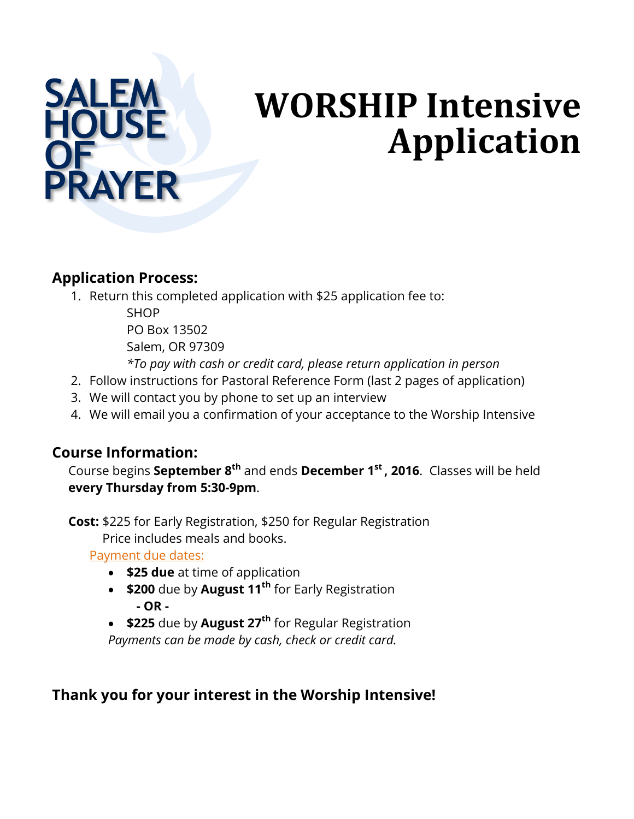# **WORSHIP Intensive Application**

#### **Application Process:**

**RAYER** 

**SALE** 

1. Return this completed application with \$25 application fee to:

**SHOP** PO Box 13502 Salem, OR 97309

*\*To pay with cash or credit card, please return application in person*

- 2. Follow instructions for Pastoral Reference Form (last 2 pages of application)
- 3. We will contact you by phone to set up an interview
- 4. We will email you a confirmation of your acceptance to the Worship Intensive

#### **Course Information:**

 Course begins **September 8 th** and ends **December 1st , 2016**. Classes will be held **every Thursday from 5:30-9pm**.

 **Cost:** \$225 for Early Registration, \$250 for Regular Registration Price includes meals and books.

Payment due dates:

- **\$25 due** at time of application
- **\$200** due by **August 11th** for Early Registration  **- OR -**
- **\$225** due by **August 27th** for Regular Registration *Payments can be made by cash, check or credit card.*

### **Thank you for your interest in the Worship Intensive!**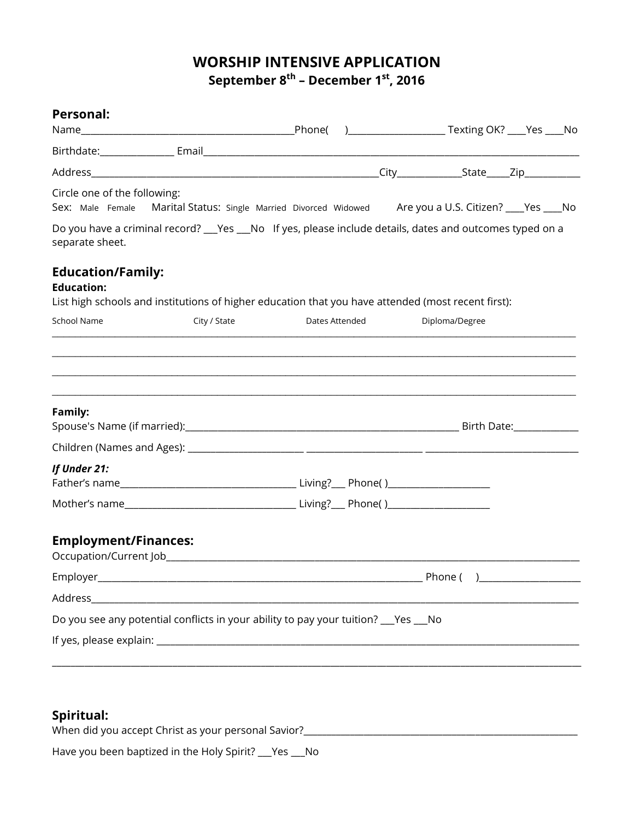#### **WORSHIP INTENSIVE APPLICATION September 8th – December 1st, 2016**

| <b>Personal:</b>                              |              |                                                                                                    |                                                                                                         |
|-----------------------------------------------|--------------|----------------------------------------------------------------------------------------------------|---------------------------------------------------------------------------------------------------------|
|                                               |              |                                                                                                    |                                                                                                         |
|                                               |              |                                                                                                    |                                                                                                         |
| Circle one of the following:                  |              |                                                                                                    | Sex: Male Female Marital Status: Single Married Divorced Widowed Are you a U.S. Citizen? ____Yes ____No |
| separate sheet.                               |              |                                                                                                    | Do you have a criminal record? __Yes __No lf yes, please include details, dates and outcomes typed on a |
| <b>Education/Family:</b><br><b>Education:</b> |              | List high schools and institutions of higher education that you have attended (most recent first): |                                                                                                         |
| <b>School Name</b>                            | City / State | Dates Attended                                                                                     | Diploma/Degree                                                                                          |
| Family:                                       |              |                                                                                                    |                                                                                                         |
|                                               |              |                                                                                                    |                                                                                                         |
|                                               |              |                                                                                                    |                                                                                                         |
| If Under 21:                                  |              |                                                                                                    |                                                                                                         |
|                                               |              |                                                                                                    |                                                                                                         |
| <b>Employment/Finances:</b>                   |              |                                                                                                    |                                                                                                         |
|                                               |              |                                                                                                    | _ Phone (                                                                                               |
|                                               |              |                                                                                                    |                                                                                                         |
|                                               |              | Do you see any potential conflicts in your ability to pay your tuition? __Yes __No                 |                                                                                                         |
|                                               |              |                                                                                                    |                                                                                                         |
|                                               |              |                                                                                                    |                                                                                                         |
|                                               |              |                                                                                                    |                                                                                                         |

#### **Spiritual:**

| <b>Spiritual.</b>                                   |
|-----------------------------------------------------|
| When did you accept Christ as your personal Savior? |
|                                                     |
| Have you been baptized in the Holy Spirit? Yes No   |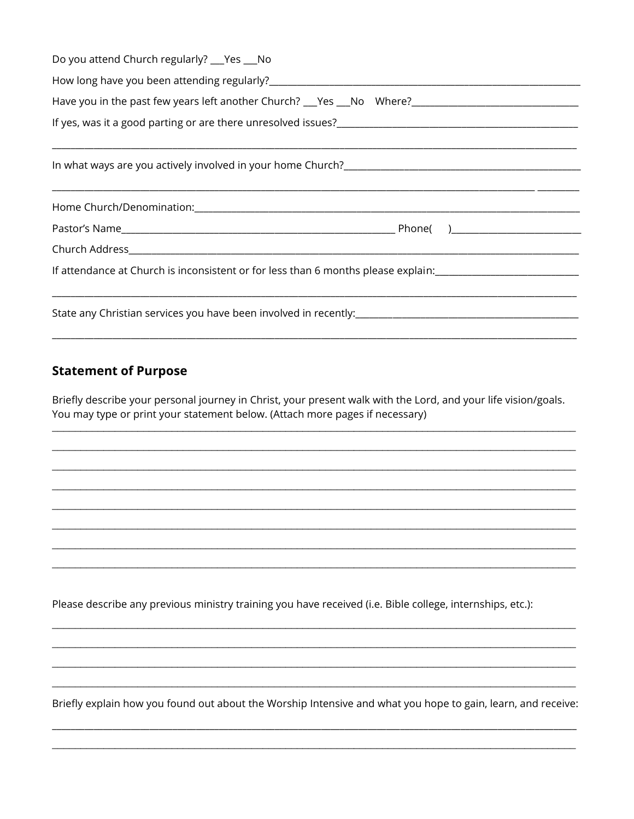| Do you attend Church regularly? __ Yes __ No                                                                                                                                  |
|-------------------------------------------------------------------------------------------------------------------------------------------------------------------------------|
|                                                                                                                                                                               |
| Have you in the past few years left another Church? __Yes __No Where? ______________________________                                                                          |
|                                                                                                                                                                               |
|                                                                                                                                                                               |
|                                                                                                                                                                               |
|                                                                                                                                                                               |
|                                                                                                                                                                               |
|                                                                                                                                                                               |
|                                                                                                                                                                               |
| If attendance at Church is inconsistent or for less than 6 months please explain:<br>1920 - The Stendance at Church is inconsistent or for less than 6 months please explain: |
|                                                                                                                                                                               |
|                                                                                                                                                                               |

#### **Statement of Purpose**

Briefly describe your personal journey in Christ, your present walk with the Lord, and your life vision/goals. You may type or print your statement below. (Attach more pages if necessary)

Please describe any previous ministry training you have received (i.e. Bible college, internships, etc.):

Briefly explain how you found out about the Worship Intensive and what you hope to gain, learn, and receive: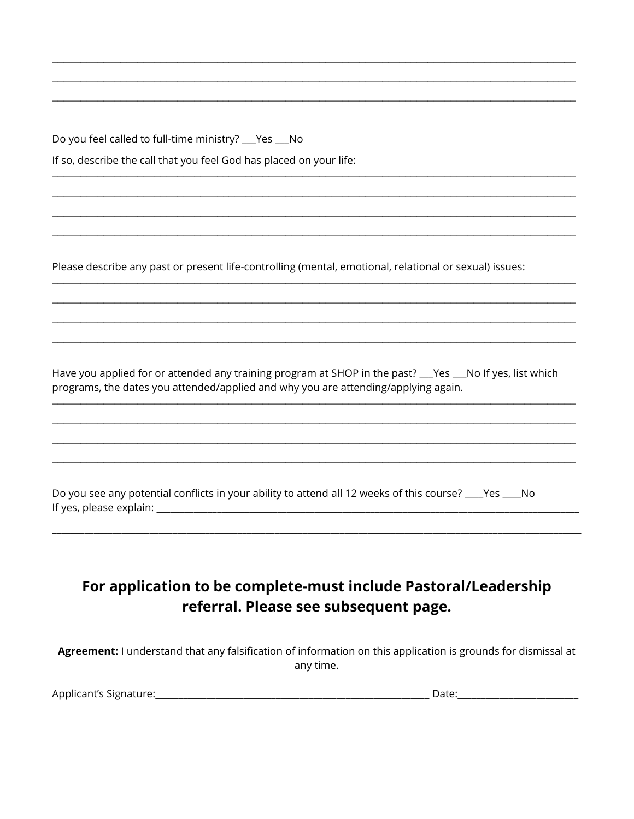Do you feel called to full-time ministry? \_\_ Yes \_\_ No

If so, describe the call that you feel God has placed on your life:

Please describe any past or present life-controlling (mental, emotional, relational or sexual) issues:

Have you applied for or attended any training program at SHOP in the past? These No If yes, list which programs, the dates you attended/applied and why you are attending/applying again.

Do you see any potential conflicts in your ability to attend all 12 weeks of this course? \_\_\_ Yes \_\_\_ No 

#### For application to be complete-must include Pastoral/Leadership referral. Please see subsequent page.

Agreement: I understand that any falsification of information on this application is grounds for dismissal at any time.

|  |  | Applicant's Signature: |  |
|--|--|------------------------|--|
|--|--|------------------------|--|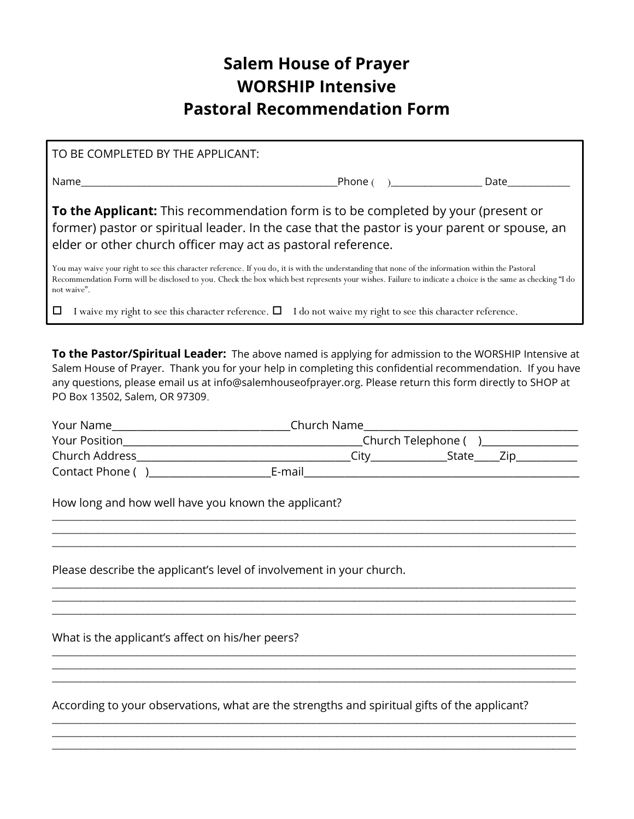## **Salem House of Prayer WORSHIP Intensive Pastoral Recommendation Form**

| TO BE COMPLETED BY THE APPLICANT:                                                                                                                                                                                                                                                                                              |               |                                                                                                                                                                                                                                |  |
|--------------------------------------------------------------------------------------------------------------------------------------------------------------------------------------------------------------------------------------------------------------------------------------------------------------------------------|---------------|--------------------------------------------------------------------------------------------------------------------------------------------------------------------------------------------------------------------------------|--|
| Name and the contract of the contract of the contract of the contract of the contract of the contract of the contract of the contract of the contract of the contract of the contract of the contract of the contract of the c                                                                                                 | Phone $($ $)$ | Date the control of the control of the control of the control of the control of the control of the control of the control of the control of the control of the control of the control of the control of the control of the con |  |
| To the Applicant: This recommendation form is to be completed by your (present or<br>former) pastor or spiritual leader. In the case that the pastor is your parent or spouse, an<br>elder or other church officer may act as pastoral reference.                                                                              |               |                                                                                                                                                                                                                                |  |
| You may waive your right to see this character reference. If you do, it is with the understanding that none of the information within the Pastoral<br>Recommendation Form will be disclosed to you. Check the box which best represents your wishes. Failure to indicate a choice is the same as checking "I do<br>not waive". |               |                                                                                                                                                                                                                                |  |
| I waive my right to see this character reference. $\Box$ I do not waive my right to see this character reference.<br>□                                                                                                                                                                                                         |               |                                                                                                                                                                                                                                |  |

**To the Pastor/Spiritual Leader:** The above named is applying for admission to the WORSHIP Intensive at Salem House of Prayer. Thank you for your help in completing this confidential recommendation. If you have any questions, please email us at info@salemhouseofprayer.org. Please return this form directly to SHOP at PO Box 13502, Salem, OR 97309.

| Your Name            | Church Name        |  |  |
|----------------------|--------------------|--|--|
| <b>Your Position</b> | Church Telephone ( |  |  |
| Church Address       | State<br>Citv      |  |  |
| Contact Phone (      | E-mail             |  |  |

 $\_$  ,  $\_$  ,  $\_$  ,  $\_$  ,  $\_$  ,  $\_$  ,  $\_$  ,  $\_$  ,  $\_$  ,  $\_$  ,  $\_$  ,  $\_$  ,  $\_$  ,  $\_$  ,  $\_$  ,  $\_$  ,  $\_$  ,  $\_$  ,  $\_$  ,  $\_$  ,  $\_$  ,  $\_$  ,  $\_$  ,  $\_$  ,  $\_$  ,  $\_$  ,  $\_$  ,  $\_$  ,  $\_$  ,  $\_$  ,  $\_$  ,  $\_$  ,  $\_$  ,  $\_$  ,  $\_$  ,  $\_$  ,  $\_$  , \_\_\_\_\_\_\_\_\_\_\_\_\_\_\_\_\_\_\_\_\_\_\_\_\_\_\_\_\_\_\_\_\_\_\_\_\_\_\_\_\_\_\_\_\_\_\_\_\_\_\_\_\_\_\_\_\_\_\_\_\_\_\_\_\_\_\_\_\_\_\_\_\_\_\_\_\_\_\_\_\_\_\_\_\_\_\_\_\_\_\_\_ \_\_\_\_\_\_\_\_\_\_\_\_\_\_\_\_\_\_\_\_\_\_\_\_\_\_\_\_\_\_\_\_\_\_\_\_\_\_\_\_\_\_\_\_\_\_\_\_\_\_\_\_\_\_\_\_\_\_\_\_\_\_\_\_\_\_\_\_\_\_\_\_\_\_\_\_\_\_\_\_\_\_\_\_\_\_\_\_\_\_\_\_

\_\_\_\_\_\_\_\_\_\_\_\_\_\_\_\_\_\_\_\_\_\_\_\_\_\_\_\_\_\_\_\_\_\_\_\_\_\_\_\_\_\_\_\_\_\_\_\_\_\_\_\_\_\_\_\_\_\_\_\_\_\_\_\_\_\_\_\_\_\_\_\_\_\_\_\_\_\_\_\_\_\_\_\_\_\_\_\_\_\_\_\_

\_\_\_\_\_\_\_\_\_\_\_\_\_\_\_\_\_\_\_\_\_\_\_\_\_\_\_\_\_\_\_\_\_\_\_\_\_\_\_\_\_\_\_\_\_\_\_\_\_\_\_\_\_\_\_\_\_\_\_\_\_\_\_\_\_\_\_\_\_\_\_\_\_\_\_\_\_\_\_\_\_\_\_\_\_\_\_\_\_\_\_\_

\_\_\_\_\_\_\_\_\_\_\_\_\_\_\_\_\_\_\_\_\_\_\_\_\_\_\_\_\_\_\_\_\_\_\_\_\_\_\_\_\_\_\_\_\_\_\_\_\_\_\_\_\_\_\_\_\_\_\_\_\_\_\_\_\_\_\_\_\_\_\_\_\_\_\_\_\_\_\_\_\_\_\_\_\_\_\_\_\_\_\_\_ \_\_\_\_\_\_\_\_\_\_\_\_\_\_\_\_\_\_\_\_\_\_\_\_\_\_\_\_\_\_\_\_\_\_\_\_\_\_\_\_\_\_\_\_\_\_\_\_\_\_\_\_\_\_\_\_\_\_\_\_\_\_\_\_\_\_\_\_\_\_\_\_\_\_\_\_\_\_\_\_\_\_\_\_\_\_\_\_\_\_\_\_ \_\_\_\_\_\_\_\_\_\_\_\_\_\_\_\_\_\_\_\_\_\_\_\_\_\_\_\_\_\_\_\_\_\_\_\_\_\_\_\_\_\_\_\_\_\_\_\_\_\_\_\_\_\_\_\_\_\_\_\_\_\_\_\_\_\_\_\_\_\_\_\_\_\_\_\_\_\_\_\_\_\_\_\_\_\_\_\_\_\_\_\_

How long and how well have you known the applicant?

Please describe the applicant's level of involvement in your church.

\_\_\_\_\_\_\_\_\_\_\_\_\_\_\_\_\_\_\_\_\_\_\_\_\_\_\_\_\_\_\_\_\_\_\_\_\_\_\_\_\_\_\_\_\_\_\_\_\_\_\_\_\_\_\_\_\_\_\_\_\_\_\_\_\_\_\_\_\_\_\_\_\_\_\_\_\_\_\_\_\_\_\_\_\_\_\_\_\_\_\_\_

What is the applicant's affect on his/her peers?

According to your observations, what are the strengths and spiritual gifts of the applicant?